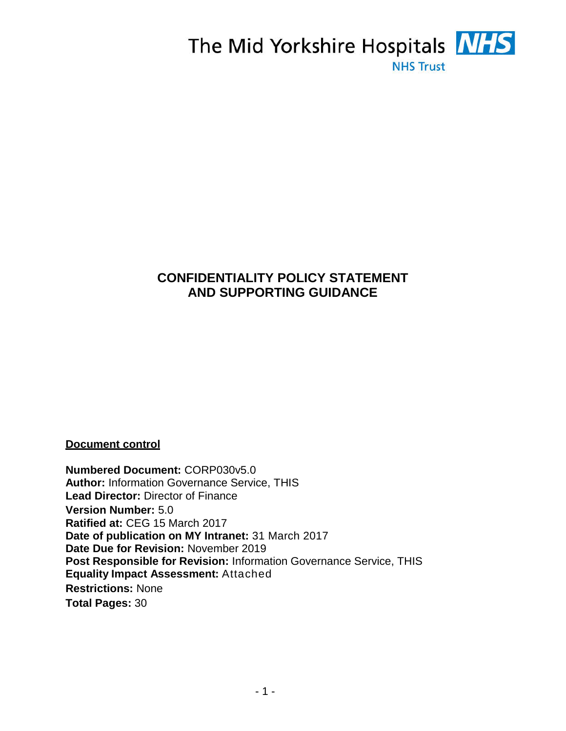

# **CONFIDENTIALITY POLICY STATEMENT AND SUPPORTING GUIDANCE**

**Document control**

**Numbered Document:** CORP030v5.0 **Author:** Information Governance Service, THIS **Lead Director:** Director of Finance **Version Number:** 5.0 **Ratified at:** CEG 15 March 2017 **Date of publication on MY Intranet:** 31 March 2017 **Date Due for Revision:** November 2019 **Post Responsible for Revision:** Information Governance Service, THIS **Equality Impact Assessment:** Attached **Restrictions:** None **Total Pages:** 30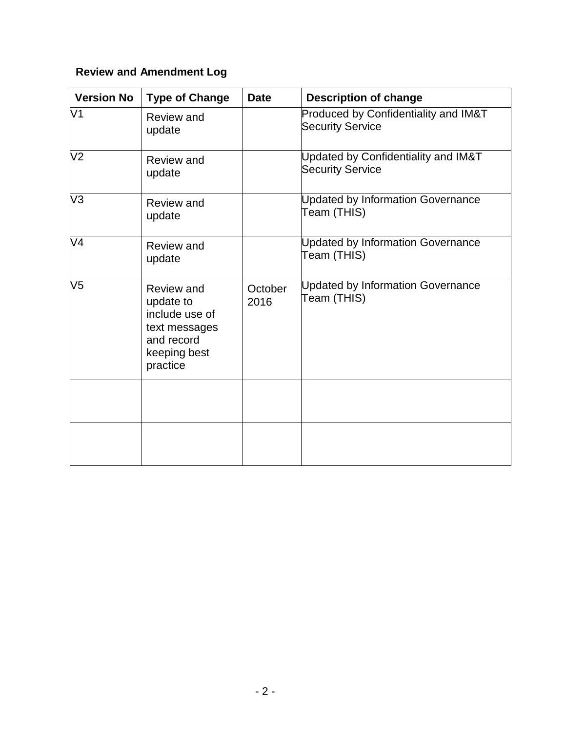# **Review and Amendment Log**

| <b>Version No</b> | <b>Type of Change</b>                                                                                | <b>Date</b>     | <b>Description of change</b>                                    |
|-------------------|------------------------------------------------------------------------------------------------------|-----------------|-----------------------------------------------------------------|
| V <sub>1</sub>    | <b>Review and</b><br>update                                                                          |                 | Produced by Confidentiality and IM&T<br><b>Security Service</b> |
| V <sub>2</sub>    | <b>Review and</b><br>update                                                                          |                 | Updated by Confidentiality and IM&T<br><b>Security Service</b>  |
| V3                | Review and<br>update                                                                                 |                 | <b>Updated by Information Governance</b><br>Team (THIS)         |
| V <sub>4</sub>    | Review and<br>update                                                                                 |                 | <b>Updated by Information Governance</b><br>Team (THIS)         |
| V <sub>5</sub>    | Review and<br>update to<br>include use of<br>text messages<br>and record<br>keeping best<br>practice | October<br>2016 | Updated by Information Governance<br>Team (THIS)                |
|                   |                                                                                                      |                 |                                                                 |
|                   |                                                                                                      |                 |                                                                 |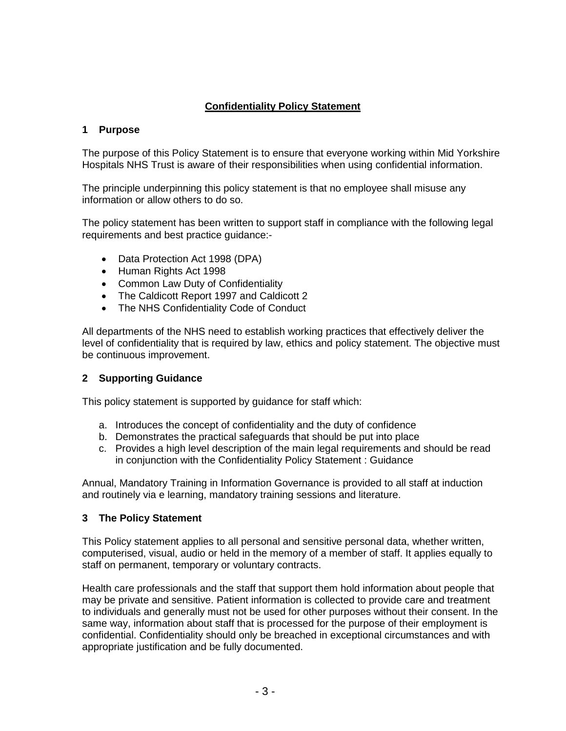# **Confidentiality Policy Statement**

### **1 Purpose**

The purpose of this Policy Statement is to ensure that everyone working within Mid Yorkshire Hospitals NHS Trust is aware of their responsibilities when using confidential information.

The principle underpinning this policy statement is that no employee shall misuse any information or allow others to do so.

The policy statement has been written to support staff in compliance with the following legal requirements and best practice guidance:-

- Data Protection Act 1998 (DPA)
- Human Rights Act 1998
- Common Law Duty of Confidentiality
- The Caldicott Report 1997 and Caldicott 2
- The NHS Confidentiality Code of Conduct

All departments of the NHS need to establish working practices that effectively deliver the level of confidentiality that is required by law, ethics and policy statement. The objective must be continuous improvement.

#### **2 Supporting Guidance**

This policy statement is supported by guidance for staff which:

- a. Introduces the concept of confidentiality and the duty of confidence
- b. Demonstrates the practical safeguards that should be put into place
- c. Provides a high level description of the main legal requirements and should be read in conjunction with the Confidentiality Policy Statement : Guidance

Annual, Mandatory Training in Information Governance is provided to all staff at induction and routinely via e learning, mandatory training sessions and literature.

#### **3 The Policy Statement**

This Policy statement applies to all personal and sensitive personal data, whether written, computerised, visual, audio or held in the memory of a member of staff. It applies equally to staff on permanent, temporary or voluntary contracts.

Health care professionals and the staff that support them hold information about people that may be private and sensitive. Patient information is collected to provide care and treatment to individuals and generally must not be used for other purposes without their consent. In the same way, information about staff that is processed for the purpose of their employment is confidential. Confidentiality should only be breached in exceptional circumstances and with appropriate justification and be fully documented.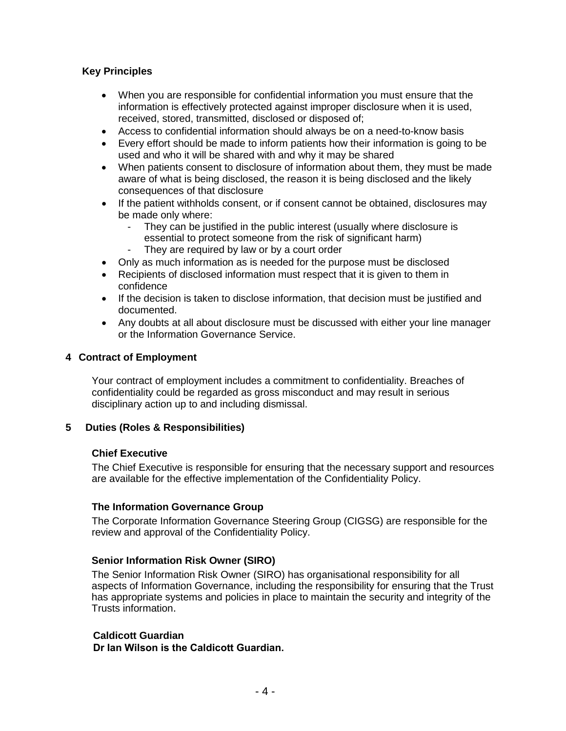## **Key Principles**

- When you are responsible for confidential information you must ensure that the information is effectively protected against improper disclosure when it is used, received, stored, transmitted, disclosed or disposed of;
- Access to confidential information should always be on a need-to-know basis
- Every effort should be made to inform patients how their information is going to be used and who it will be shared with and why it may be shared
- When patients consent to disclosure of information about them, they must be made aware of what is being disclosed, the reason it is being disclosed and the likely consequences of that disclosure
- If the patient withholds consent, or if consent cannot be obtained, disclosures may be made only where:
	- They can be justified in the public interest (usually where disclosure is essential to protect someone from the risk of significant harm)
	- They are required by law or by a court order
- Only as much information as is needed for the purpose must be disclosed
- Recipients of disclosed information must respect that it is given to them in confidence
- If the decision is taken to disclose information, that decision must be justified and documented.
- Any doubts at all about disclosure must be discussed with either your line manager or the Information Governance Service.

#### **4 Contract of Employment**

Your contract of employment includes a commitment to confidentiality. Breaches of confidentiality could be regarded as gross misconduct and may result in serious disciplinary action up to and including dismissal.

#### **5 Duties (Roles & Responsibilities)**

#### **Chief Executive**

The Chief Executive is responsible for ensuring that the necessary support and resources are available for the effective implementation of the Confidentiality Policy.

#### **The Information Governance Group**

The Corporate Information Governance Steering Group (CIGSG) are responsible for the review and approval of the Confidentiality Policy.

#### **Senior Information Risk Owner (SIRO)**

The Senior Information Risk Owner (SIRO) has organisational responsibility for all aspects of Information Governance, including the responsibility for ensuring that the Trust has appropriate systems and policies in place to maintain the security and integrity of the Trusts information.

#### **Caldicott Guardian**

**Dr Ian Wilson is the Caldicott Guardian.**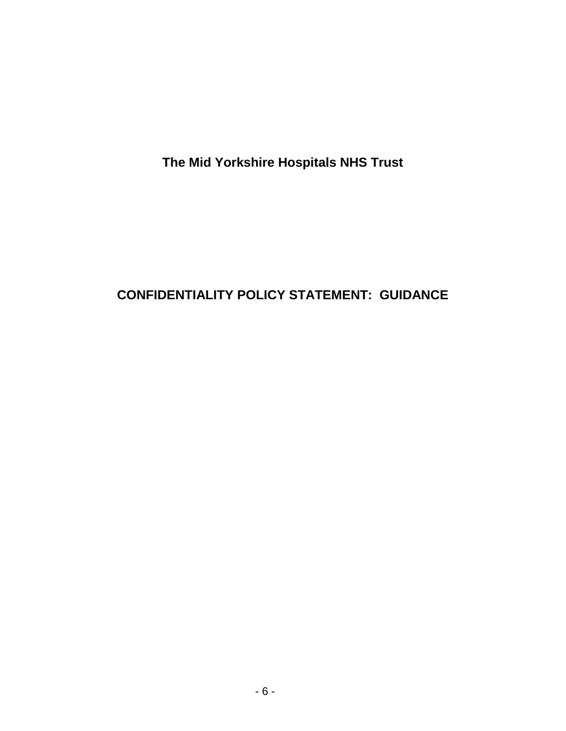**The Mid Yorkshire Hospitals NHS Trust**

# **CONFIDENTIALITY POLICY STATEMENT: GUIDANCE**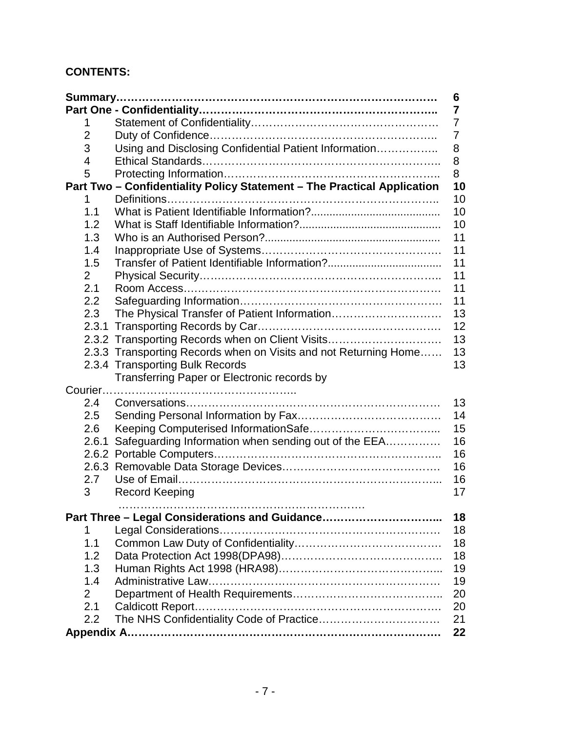# **CONTENTS:**

|                |                                                                         | 6  |
|----------------|-------------------------------------------------------------------------|----|
|                |                                                                         | 7  |
| 1              |                                                                         | 7  |
| $\overline{2}$ |                                                                         | 7  |
| 3              | Using and Disclosing Confidential Patient Information                   | 8  |
| 4              |                                                                         | 8  |
| 5              |                                                                         | 8  |
|                | Part Two - Confidentiality Policy Statement - The Practical Application | 10 |
| 1              |                                                                         | 10 |
| 1.1            |                                                                         | 10 |
| 1.2            |                                                                         | 10 |
| 1.3            |                                                                         | 11 |
| 1.4            |                                                                         | 11 |
| 1.5            |                                                                         | 11 |
| $\overline{2}$ |                                                                         | 11 |
| 2.1            |                                                                         | 11 |
| 2.2            |                                                                         | 11 |
| 2.3            |                                                                         | 13 |
|                |                                                                         | 12 |
|                | 2.3.2 Transporting Records when on Client Visits                        | 13 |
|                | 2.3.3 Transporting Records when on Visits and not Returning Home        | 13 |
|                | 2.3.4 Transporting Bulk Records                                         | 13 |
|                | Transferring Paper or Electronic records by                             |    |
|                |                                                                         |    |
| 2.4            |                                                                         | 13 |
| 2.5            |                                                                         | 14 |
| 2.6            |                                                                         | 15 |
| 2.6.1          | Safeguarding Information when sending out of the EEA                    | 16 |
|                |                                                                         | 16 |
|                |                                                                         | 16 |
| 2.7            |                                                                         | 16 |
| 3              | <b>Record Keeping</b>                                                   | 17 |
|                | .                                                                       |    |
|                | Part Three - Legal Considerations and Guidance                          | 18 |
| 1              |                                                                         | 18 |
| 1.1            |                                                                         | 18 |
| 1.2            |                                                                         | 18 |
| 1.3            |                                                                         | 19 |
| 1.4            |                                                                         | 19 |
| $\overline{2}$ |                                                                         | 20 |
| 2.1            |                                                                         | 20 |
| 2.2            |                                                                         | 21 |
|                |                                                                         | 22 |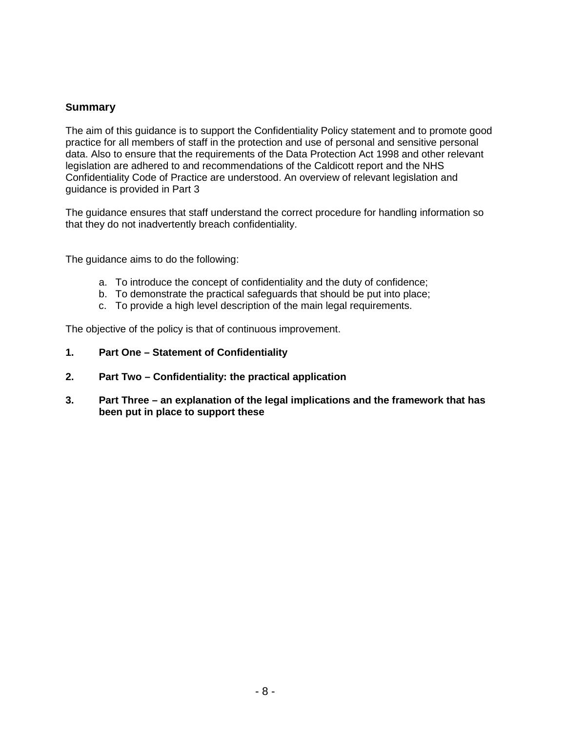### **Summary**

The aim of this guidance is to support the Confidentiality Policy statement and to promote good practice for all members of staff in the protection and use of personal and sensitive personal data. Also to ensure that the requirements of the Data Protection Act 1998 and other relevant legislation are adhered to and recommendations of the Caldicott report and the NHS Confidentiality Code of Practice are understood. An overview of relevant legislation and guidance is provided in Part 3

The guidance ensures that staff understand the correct procedure for handling information so that they do not inadvertently breach confidentiality.

The guidance aims to do the following:

- a. To introduce the concept of confidentiality and the duty of confidence;
- b. To demonstrate the practical safeguards that should be put into place;
- c. To provide a high level description of the main legal requirements.

The objective of the policy is that of continuous improvement.

- **1. Part One – Statement of Confidentiality**
- **2. Part Two – Confidentiality: the practical application**
- **3. Part Three – an explanation of the legal implications and the framework that has been put in place to support these**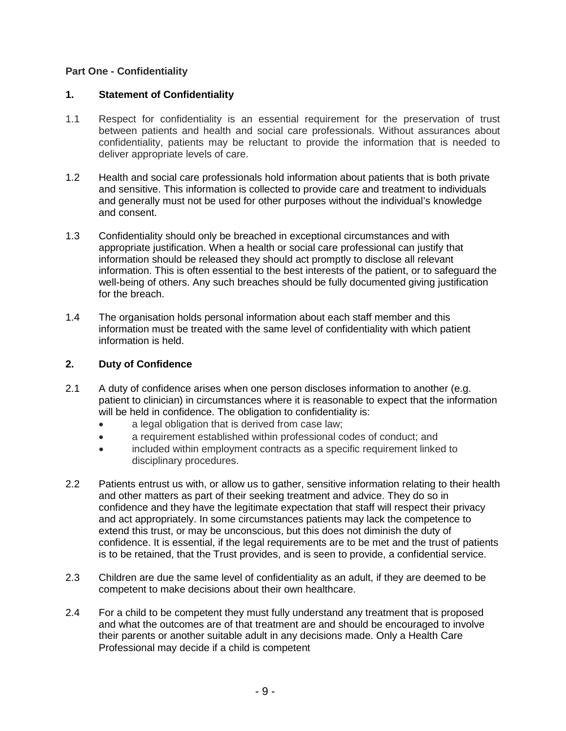## **Part One - Confidentiality**

#### **1. Statement of Confidentiality**

- 1.1 Respect for confidentiality is an essential requirement for the preservation of trust between patients and health and social care professionals. Without assurances about confidentiality, patients may be reluctant to provide the information that is needed to deliver appropriate levels of care.
- 1.2 Health and social care professionals hold information about patients that is both private and sensitive. This information is collected to provide care and treatment to individuals and generally must not be used for other purposes without the individual's knowledge and consent.
- 1.3 Confidentiality should only be breached in exceptional circumstances and with appropriate justification. When a health or social care professional can justify that information should be released they should act promptly to disclose all relevant information. This is often essential to the best interests of the patient, or to safeguard the well-being of others. Any such breaches should be fully documented giving justification for the breach.
- 1.4 The organisation holds personal information about each staff member and this information must be treated with the same level of confidentiality with which patient information is held.

## **2. Duty of Confidence**

- 2.1 A duty of confidence arises when one person discloses information to another (e.g. patient to clinician) in circumstances where it is reasonable to expect that the information will be held in confidence. The obligation to confidentiality is:
	- a legal obligation that is derived from case law;
	- a requirement established within professional codes of conduct; and
	- included within employment contracts as a specific requirement linked to disciplinary procedures.
- 2.2 Patients entrust us with, or allow us to gather, sensitive information relating to their health and other matters as part of their seeking treatment and advice. They do so in confidence and they have the legitimate expectation that staff will respect their privacy and act appropriately. In some circumstances patients may lack the competence to extend this trust, or may be unconscious, but this does not diminish the duty of confidence. It is essential, if the legal requirements are to be met and the trust of patients is to be retained, that the Trust provides, and is seen to provide, a confidential service.
- 2.3 Children are due the same level of confidentiality as an adult, if they are deemed to be competent to make decisions about their own healthcare.
- 2.4 For a child to be competent they must fully understand any treatment that is proposed and what the outcomes are of that treatment are and should be encouraged to involve their parents or another suitable adult in any decisions made. Only a Health Care Professional may decide if a child is competent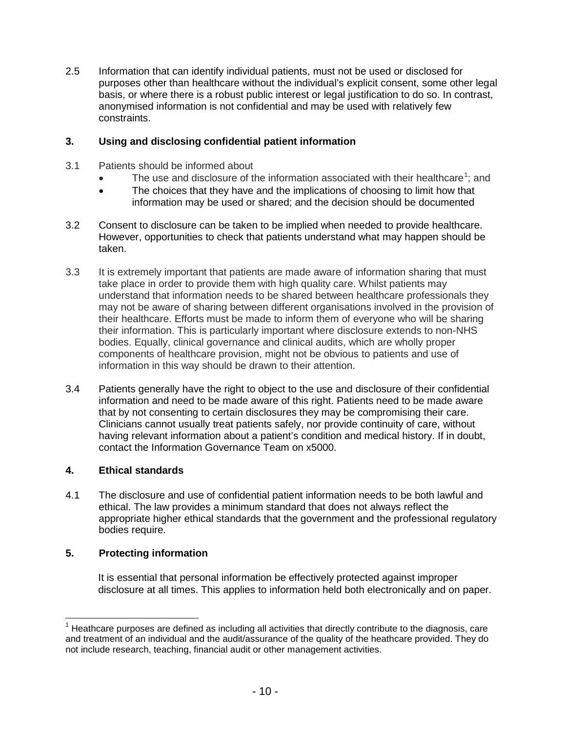2.5 Information that can identify individual patients, must not be used or disclosed for purposes other than healthcare without the individual's explicit consent, some other legal basis, or where there is a robust public interest or legal justification to do so. In contrast, anonymised information is not confidential and may be used with relatively few constraints.

## **3. Using and disclosing confidential patient information**

- 3.1 Patients should be informed about
	- The use and disclosure of the information associated with their healthcare<sup>[1](#page-8-0)</sup>; and
	- The choices that they have and the implications of choosing to limit how that information may be used or shared; and the decision should be documented
- 3.2 Consent to disclosure can be taken to be implied when needed to provide healthcare. However, opportunities to check that patients understand what may happen should be taken.
- 3.3 It is extremely important that patients are made aware of information sharing that must take place in order to provide them with high quality care. Whilst patients may understand that information needs to be shared between healthcare professionals they may not be aware of sharing between different organisations involved in the provision of their healthcare. Efforts must be made to inform them of everyone who will be sharing their information. This is particularly important where disclosure extends to non-NHS bodies. Equally, clinical governance and clinical audits, which are wholly proper components of healthcare provision, might not be obvious to patients and use of information in this way should be drawn to their attention.
- 3.4 Patients generally have the right to object to the use and disclosure of their confidential information and need to be made aware of this right. Patients need to be made aware that by not consenting to certain disclosures they may be compromising their care. Clinicians cannot usually treat patients safely, nor provide continuity of care, without having relevant information about a patient's condition and medical history. If in doubt, contact the Information Governance Team on x5000.

# **4. Ethical standards**

4.1 The disclosure and use of confidential patient information needs to be both lawful and ethical. The law provides a minimum standard that does not always reflect the appropriate higher ethical standards that the government and the professional regulatory bodies require.

#### **5. Protecting information**

It is essential that personal information be effectively protected against improper disclosure at all times. This applies to information held both electronically and on paper.

<span id="page-8-0"></span> $<sup>1</sup>$  Heathcare purposes are defined as including all activities that directly contribute to the diagnosis, care</sup> and treatment of an individual and the audit/assurance of the quality of the heathcare provided. They do not include research, teaching, financial audit or other management activities.  $\overline{a}$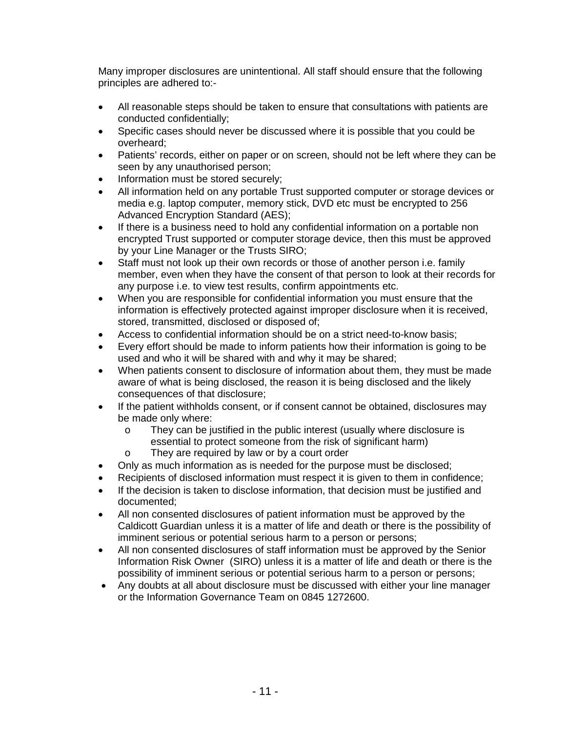Many improper disclosures are unintentional. All staff should ensure that the following principles are adhered to:-

- All reasonable steps should be taken to ensure that consultations with patients are conducted confidentially;
- Specific cases should never be discussed where it is possible that you could be overheard;
- Patients' records, either on paper or on screen, should not be left where they can be seen by any unauthorised person;
- Information must be stored securely;
- All information held on any portable Trust supported computer or storage devices or media e.g. laptop computer, memory stick, DVD etc must be encrypted to 256 Advanced Encryption Standard (AES);
- If there is a business need to hold any confidential information on a portable non encrypted Trust supported or computer storage device, then this must be approved by your Line Manager or the Trusts SIRO;
- Staff must not look up their own records or those of another person i.e. family member, even when they have the consent of that person to look at their records for any purpose i.e. to view test results, confirm appointments etc.
- When you are responsible for confidential information you must ensure that the information is effectively protected against improper disclosure when it is received, stored, transmitted, disclosed or disposed of;
- Access to confidential information should be on a strict need-to-know basis;
- Every effort should be made to inform patients how their information is going to be used and who it will be shared with and why it may be shared;
- When patients consent to disclosure of information about them, they must be made aware of what is being disclosed, the reason it is being disclosed and the likely consequences of that disclosure;
- If the patient withholds consent, or if consent cannot be obtained, disclosures may be made only where:
	- o They can be justified in the public interest (usually where disclosure is essential to protect someone from the risk of significant harm)
	- o They are required by law or by a court order
- Only as much information as is needed for the purpose must be disclosed;
- Recipients of disclosed information must respect it is given to them in confidence;
- If the decision is taken to disclose information, that decision must be justified and documented;
- All non consented disclosures of patient information must be approved by the Caldicott Guardian unless it is a matter of life and death or there is the possibility of imminent serious or potential serious harm to a person or persons;
- All non consented disclosures of staff information must be approved by the Senior Information Risk Owner (SIRO) unless it is a matter of life and death or there is the possibility of imminent serious or potential serious harm to a person or persons;
- Any doubts at all about disclosure must be discussed with either your line manager or the Information Governance Team on 0845 1272600.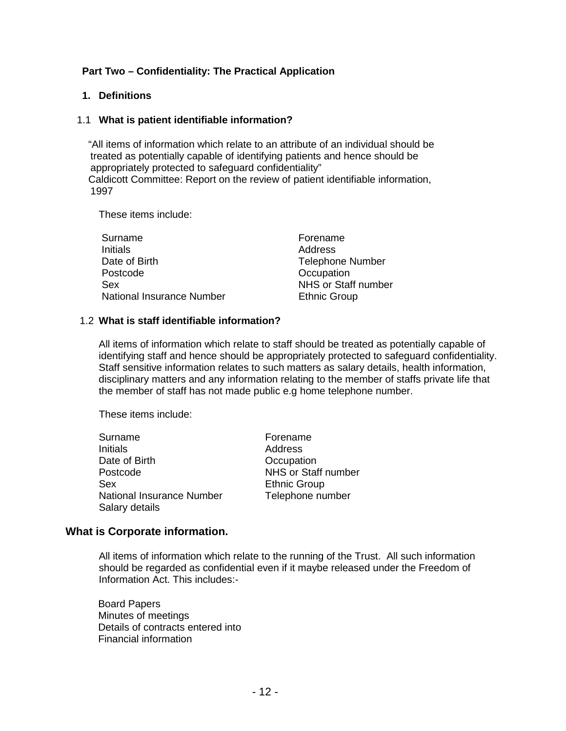# **Part Two – Confidentiality: The Practical Application**

#### **1. Definitions**

#### 1.1 **What is patient identifiable information?**

"All items of information which relate to an attribute of an individual should be treated as potentially capable of identifying patients and hence should be appropriately protected to safeguard confidentiality" Caldicott Committee: Report on the review of patient identifiable information, 1997

These items include:

| Surname                   | Forename                |
|---------------------------|-------------------------|
| <b>Initials</b>           | Address                 |
| Date of Birth             | <b>Telephone Number</b> |
| Postcode                  | Occupation              |
| Sex                       | NHS or Staff number     |
| National Insurance Number | <b>Ethnic Group</b>     |

#### 1.2 **What is staff identifiable information?**

All items of information which relate to staff should be treated as potentially capable of identifying staff and hence should be appropriately protected to safeguard confidentiality. Staff sensitive information relates to such matters as salary details, health information, disciplinary matters and any information relating to the member of staffs private life that the member of staff has not made public e.g home telephone number.

These items include:

| Surname                                     | Forename            |
|---------------------------------------------|---------------------|
| Initials                                    | Address             |
| Date of Birth                               | Occupation          |
| Postcode                                    | NHS or Staff number |
| Sex                                         | <b>Ethnic Group</b> |
| National Insurance Number<br>Salary details | Telephone number    |

#### **What is Corporate information.**

All items of information which relate to the running of the Trust. All such information should be regarded as confidential even if it maybe released under the Freedom of Information Act. This includes:-

Board Papers Minutes of meetings Details of contracts entered into Financial information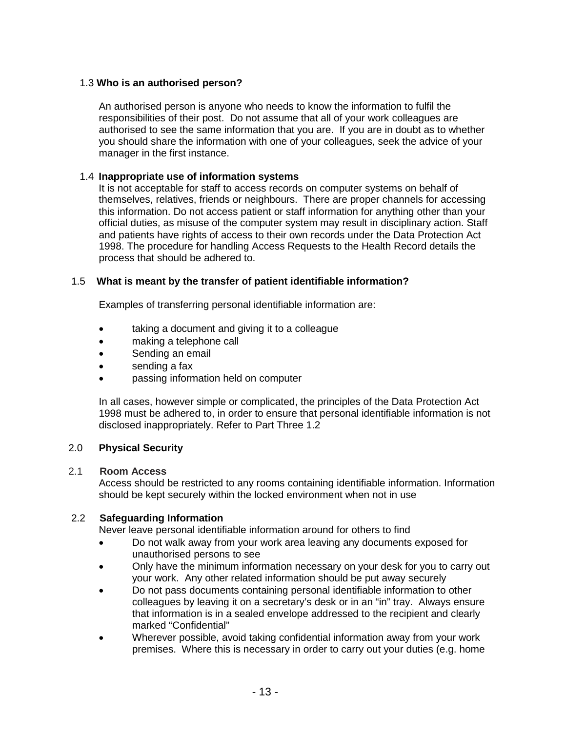## 1.3 **Who is an authorised person?**

An authorised person is anyone who needs to know the information to fulfil the responsibilities of their post. Do not assume that all of your work colleagues are authorised to see the same information that you are. If you are in doubt as to whether you should share the information with one of your colleagues, seek the advice of your manager in the first instance.

## 1.4 **Inappropriate use of information systems**

It is not acceptable for staff to access records on computer systems on behalf of themselves, relatives, friends or neighbours. There are proper channels for accessing this information. Do not access patient or staff information for anything other than your official duties, as misuse of the computer system may result in disciplinary action. Staff and patients have rights of access to their own records under the Data Protection Act 1998. The procedure for handling Access Requests to the Health Record details the process that should be adhered to.

## 1.5 **What is meant by the transfer of patient identifiable information?**

Examples of transferring personal identifiable information are:

- taking a document and giving it to a colleague
- making a telephone call
- Sending an email
- sending a fax
- passing information held on computer

In all cases, however simple or complicated, the principles of the Data Protection Act 1998 must be adhered to, in order to ensure that personal identifiable information is not disclosed inappropriately. Refer to Part Three 1.2

#### 2.0 **Physical Security**

#### 2.1 **Room Access**

Access should be restricted to any rooms containing identifiable information. Information should be kept securely within the locked environment when not in use

#### 2.2 **Safeguarding Information**

Never leave personal identifiable information around for others to find

- Do not walk away from your work area leaving any documents exposed for unauthorised persons to see
- Only have the minimum information necessary on your desk for you to carry out your work. Any other related information should be put away securely
- Do not pass documents containing personal identifiable information to other colleagues by leaving it on a secretary's desk or in an "in" tray. Always ensure that information is in a sealed envelope addressed to the recipient and clearly marked "Confidential"
- Wherever possible, avoid taking confidential information away from your work premises. Where this is necessary in order to carry out your duties (e.g. home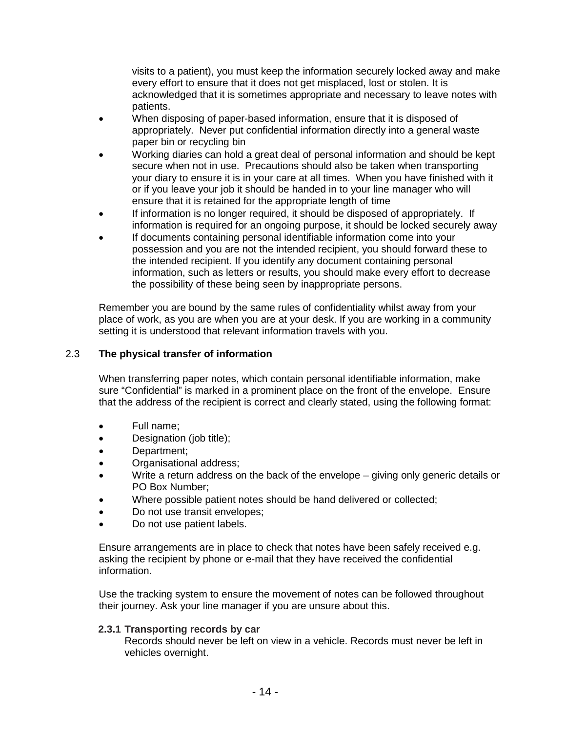visits to a patient), you must keep the information securely locked away and make every effort to ensure that it does not get misplaced, lost or stolen. It is acknowledged that it is sometimes appropriate and necessary to leave notes with patients.

- When disposing of paper-based information, ensure that it is disposed of appropriately. Never put confidential information directly into a general waste paper bin or recycling bin
- Working diaries can hold a great deal of personal information and should be kept secure when not in use. Precautions should also be taken when transporting your diary to ensure it is in your care at all times. When you have finished with it or if you leave your job it should be handed in to your line manager who will ensure that it is retained for the appropriate length of time
- If information is no longer required, it should be disposed of appropriately. If information is required for an ongoing purpose, it should be locked securely away
- If documents containing personal identifiable information come into your possession and you are not the intended recipient, you should forward these to the intended recipient. If you identify any document containing personal information, such as letters or results, you should make every effort to decrease the possibility of these being seen by inappropriate persons.

Remember you are bound by the same rules of confidentiality whilst away from your place of work, as you are when you are at your desk. If you are working in a community setting it is understood that relevant information travels with you.

# 2.3 **The physical transfer of information**

When transferring paper notes, which contain personal identifiable information, make sure "Confidential" is marked in a prominent place on the front of the envelope. Ensure that the address of the recipient is correct and clearly stated, using the following format:

- Full name;
- Designation (job title);
- Department;
- Organisational address;
- Write a return address on the back of the envelope giving only generic details or PO Box Number;
- Where possible patient notes should be hand delivered or collected;
- Do not use transit envelopes;
- Do not use patient labels.

Ensure arrangements are in place to check that notes have been safely received e.g. asking the recipient by phone or e-mail that they have received the confidential information.

Use the tracking system to ensure the movement of notes can be followed throughout their journey. Ask your line manager if you are unsure about this.

#### **2.3.1 Transporting records by car**

Records should never be left on view in a vehicle. Records must never be left in vehicles overnight.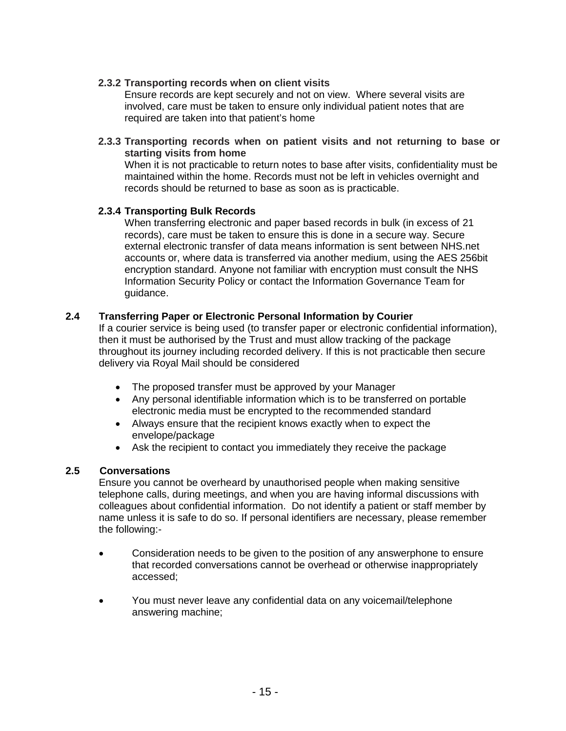## **2.3.2 Transporting records when on client visits**

Ensure records are kept securely and not on view. Where several visits are involved, care must be taken to ensure only individual patient notes that are required are taken into that patient's home

**2.3.3 Transporting records when on patient visits and not returning to base or starting visits from home**

When it is not practicable to return notes to base after visits, confidentiality must be maintained within the home. Records must not be left in vehicles overnight and records should be returned to base as soon as is practicable.

#### **2.3.4 Transporting Bulk Records**

When transferring electronic and paper based records in bulk (in excess of 21 records), care must be taken to ensure this is done in a secure way. Secure external electronic transfer of data means information is sent between NHS.net accounts or, where data is transferred via another medium, using the AES 256bit encryption standard. Anyone not familiar with encryption must consult the NHS Information Security Policy or contact the Information Governance Team for guidance.

## **2.4 Transferring Paper or Electronic Personal Information by Courier**

If a courier service is being used (to transfer paper or electronic confidential information), then it must be authorised by the Trust and must allow tracking of the package throughout its journey including recorded delivery. If this is not practicable then secure delivery via Royal Mail should be considered

- The proposed transfer must be approved by your Manager
- Any personal identifiable information which is to be transferred on portable electronic media must be encrypted to the recommended standard
- Always ensure that the recipient knows exactly when to expect the envelope/package
- Ask the recipient to contact you immediately they receive the package

#### **2.5 Conversations**

Ensure you cannot be overheard by unauthorised people when making sensitive telephone calls, during meetings, and when you are having informal discussions with colleagues about confidential information. Do not identify a patient or staff member by name unless it is safe to do so. If personal identifiers are necessary, please remember the following:-

- Consideration needs to be given to the position of any answerphone to ensure that recorded conversations cannot be overhead or otherwise inappropriately accessed;
- You must never leave any confidential data on any voicemail/telephone answering machine;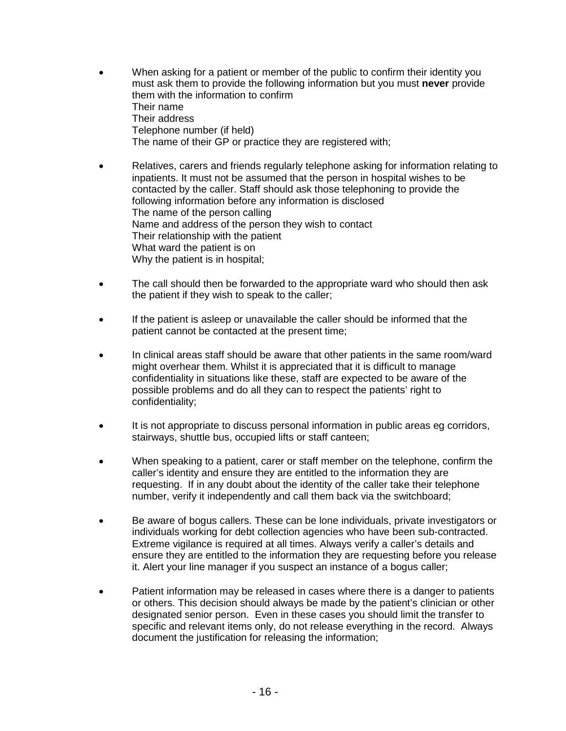- When asking for a patient or member of the public to confirm their identity you must ask them to provide the following information but you must **never** provide them with the information to confirm Their name Their address Telephone number (if held) The name of their GP or practice they are registered with;
- Relatives, carers and friends regularly telephone asking for information relating to inpatients. It must not be assumed that the person in hospital wishes to be contacted by the caller. Staff should ask those telephoning to provide the following information before any information is disclosed The name of the person calling Name and address of the person they wish to contact Their relationship with the patient What ward the patient is on Why the patient is in hospital;
- The call should then be forwarded to the appropriate ward who should then ask the patient if they wish to speak to the caller;
- If the patient is asleep or unavailable the caller should be informed that the patient cannot be contacted at the present time;
- In clinical areas staff should be aware that other patients in the same room/ward might overhear them. Whilst it is appreciated that it is difficult to manage confidentiality in situations like these, staff are expected to be aware of the possible problems and do all they can to respect the patients' right to confidentiality;
- It is not appropriate to discuss personal information in public areas eg corridors, stairways, shuttle bus, occupied lifts or staff canteen;
- When speaking to a patient, carer or staff member on the telephone, confirm the caller's identity and ensure they are entitled to the information they are requesting. If in any doubt about the identity of the caller take their telephone number, verify it independently and call them back via the switchboard;
- Be aware of bogus callers. These can be lone individuals, private investigators or individuals working for debt collection agencies who have been sub-contracted. Extreme vigilance is required at all times. Always verify a caller's details and ensure they are entitled to the information they are requesting before you release it. Alert your line manager if you suspect an instance of a bogus caller;
- Patient information may be released in cases where there is a danger to patients or others. This decision should always be made by the patient's clinician or other designated senior person. Even in these cases you should limit the transfer to specific and relevant items only, do not release everything in the record. Always document the justification for releasing the information;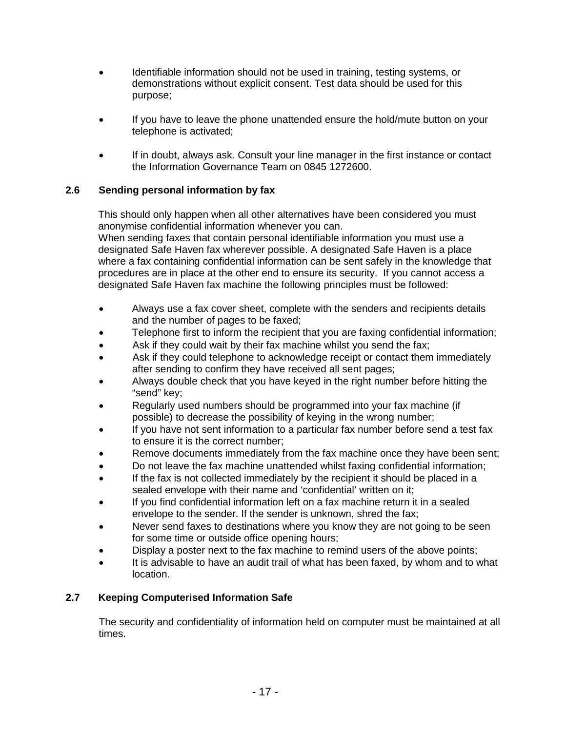- Identifiable information should not be used in training, testing systems, or demonstrations without explicit consent. Test data should be used for this purpose;
- If you have to leave the phone unattended ensure the hold/mute button on your telephone is activated;
- If in doubt, always ask. Consult your line manager in the first instance or contact the Information Governance Team on 0845 1272600.

# **2.6 Sending personal information by fax**

This should only happen when all other alternatives have been considered you must anonymise confidential information whenever you can. When sending faxes that contain personal identifiable information you must use a designated Safe Haven fax wherever possible. A designated Safe Haven is a place where a fax containing confidential information can be sent safely in the knowledge that procedures are in place at the other end to ensure its security. If you cannot access a designated Safe Haven fax machine the following principles must be followed:

- Always use a fax cover sheet, complete with the senders and recipients details and the number of pages to be faxed;
- Telephone first to inform the recipient that you are faxing confidential information;
- Ask if they could wait by their fax machine whilst you send the fax;
- Ask if they could telephone to acknowledge receipt or contact them immediately after sending to confirm they have received all sent pages;
- Always double check that you have keyed in the right number before hitting the "send" key;
- Regularly used numbers should be programmed into your fax machine (if possible) to decrease the possibility of keying in the wrong number;
- If you have not sent information to a particular fax number before send a test fax to ensure it is the correct number;
- Remove documents immediately from the fax machine once they have been sent;
- Do not leave the fax machine unattended whilst faxing confidential information;
- If the fax is not collected immediately by the recipient it should be placed in a sealed envelope with their name and 'confidential' written on it;
- If you find confidential information left on a fax machine return it in a sealed envelope to the sender. If the sender is unknown, shred the fax;
- Never send faxes to destinations where you know they are not going to be seen for some time or outside office opening hours;
- Display a poster next to the fax machine to remind users of the above points;
- It is advisable to have an audit trail of what has been faxed, by whom and to what location.

# **2.7 Keeping Computerised Information Safe**

The security and confidentiality of information held on computer must be maintained at all times.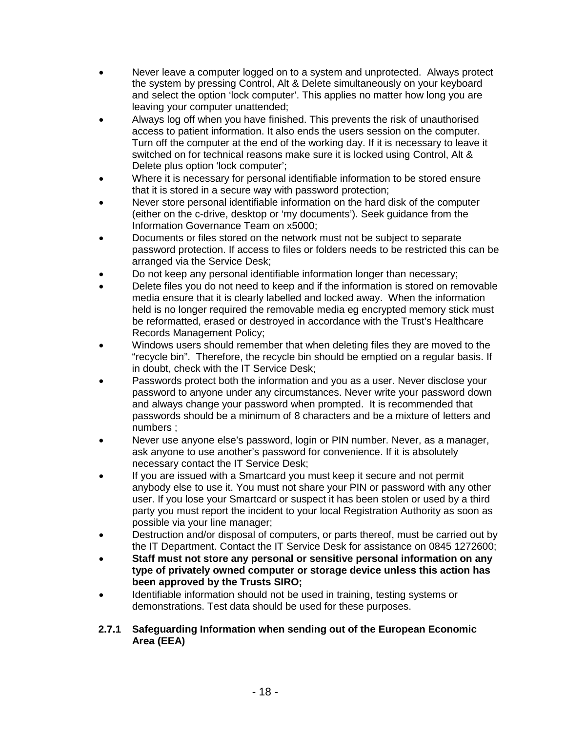- Never leave a computer logged on to a system and unprotected. Always protect the system by pressing Control, Alt & Delete simultaneously on your keyboard and select the option 'lock computer'. This applies no matter how long you are leaving your computer unattended;
- Always log off when you have finished. This prevents the risk of unauthorised access to patient information. It also ends the users session on the computer. Turn off the computer at the end of the working day. If it is necessary to leave it switched on for technical reasons make sure it is locked using Control, Alt & Delete plus option 'lock computer';
- Where it is necessary for personal identifiable information to be stored ensure that it is stored in a secure way with password protection;
- Never store personal identifiable information on the hard disk of the computer (either on the c-drive, desktop or 'my documents'). Seek guidance from the Information Governance Team on x5000;
- Documents or files stored on the network must not be subject to separate password protection. If access to files or folders needs to be restricted this can be arranged via the Service Desk;
- Do not keep any personal identifiable information longer than necessary;
- Delete files you do not need to keep and if the information is stored on removable media ensure that it is clearly labelled and locked away. When the information held is no longer required the removable media eg encrypted memory stick must be reformatted, erased or destroyed in accordance with the Trust's Healthcare Records Management Policy;
- Windows users should remember that when deleting files they are moved to the "recycle bin". Therefore, the recycle bin should be emptied on a regular basis. If in doubt, check with the IT Service Desk;
- Passwords protect both the information and you as a user. Never disclose your password to anyone under any circumstances. Never write your password down and always change your password when prompted. It is recommended that passwords should be a minimum of 8 characters and be a mixture of letters and numbers ;
- Never use anyone else's password, login or PIN number. Never, as a manager, ask anyone to use another's password for convenience. If it is absolutely necessary contact the IT Service Desk;
- If you are issued with a Smartcard you must keep it secure and not permit anybody else to use it. You must not share your PIN or password with any other user. If you lose your Smartcard or suspect it has been stolen or used by a third party you must report the incident to your local Registration Authority as soon as possible via your line manager;
- Destruction and/or disposal of computers, or parts thereof, must be carried out by the IT Department. Contact the IT Service Desk for assistance on 0845 1272600;
- **Staff must not store any personal or sensitive personal information on any type of privately owned computer or storage device unless this action has been approved by the Trusts SIRO;**
- Identifiable information should not be used in training, testing systems or demonstrations. Test data should be used for these purposes.
- **2.7.1 Safeguarding Information when sending out of the European Economic Area (EEA)**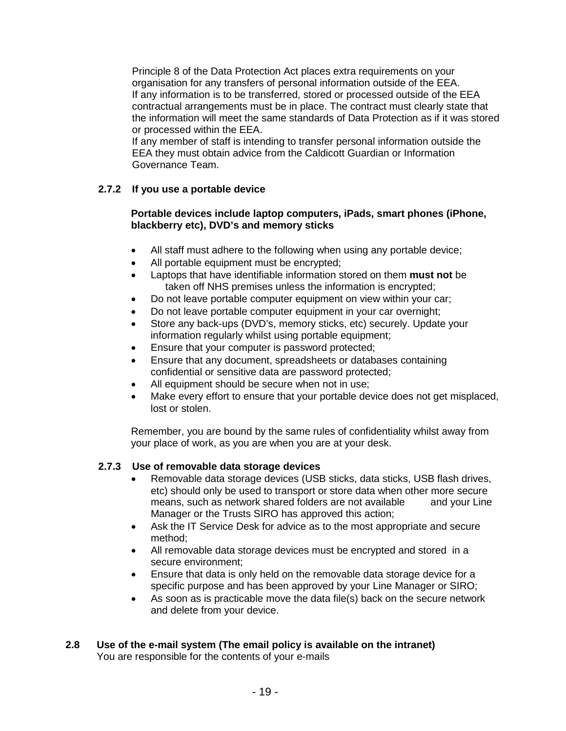Principle 8 of the Data Protection Act places extra requirements on your organisation for any transfers of personal information outside of the EEA. If any information is to be transferred, stored or processed outside of the EEA contractual arrangements must be in place. The contract must clearly state that the information will meet the same standards of Data Protection as if it was stored or processed within the EEA.

If any member of staff is intending to transfer personal information outside the EEA they must obtain advice from the Caldicott Guardian or Information Governance Team.

# **2.7.2 If you use a portable device**

#### **Portable devices include laptop computers, iPads, smart phones (iPhone, blackberry etc), DVD's and memory sticks**

- All staff must adhere to the following when using any portable device;
- All portable equipment must be encrypted;
- Laptops that have identifiable information stored on them **must not** be taken off NHS premises unless the information is encrypted;
- Do not leave portable computer equipment on view within your car;
- Do not leave portable computer equipment in your car overnight;
- Store any back-ups (DVD's, memory sticks, etc) securely. Update your information regularly whilst using portable equipment;
- Ensure that your computer is password protected;
- Ensure that any document, spreadsheets or databases containing confidential or sensitive data are password protected;
- All equipment should be secure when not in use;
- Make every effort to ensure that your portable device does not get misplaced, lost or stolen.

Remember, you are bound by the same rules of confidentiality whilst away from your place of work, as you are when you are at your desk.

# **2.7.3 Use of removable data storage devices**

- Removable data storage devices (USB sticks, data sticks, USB flash drives, etc) should only be used to transport or store data when other more secure means, such as network shared folders are not available and your Line Manager or the Trusts SIRO has approved this action;
- Ask the IT Service Desk for advice as to the most appropriate and secure method;
- All removable data storage devices must be encrypted and stored in a secure environment;
- Ensure that data is only held on the removable data storage device for a specific purpose and has been approved by your Line Manager or SIRO;
- As soon as is practicable move the data file(s) back on the secure network and delete from your device.

#### **2.8 Use of the e-mail system (The email policy is available on the intranet)** You are responsible for the contents of your e-mails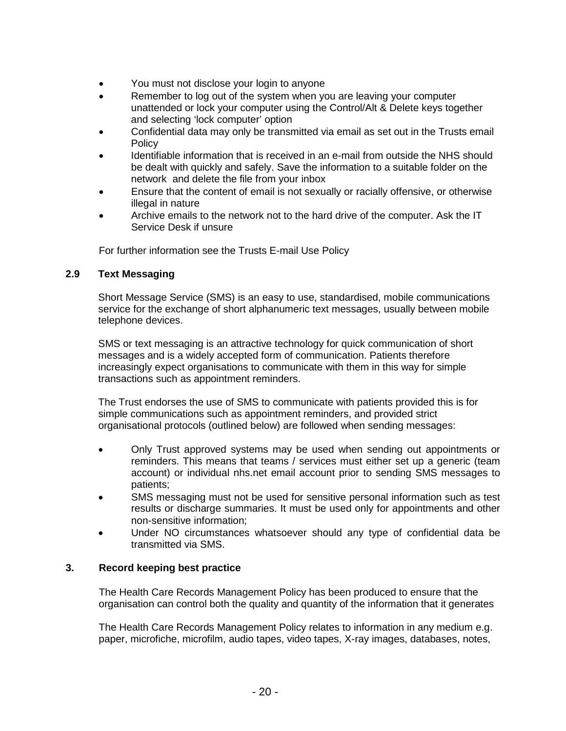- You must not disclose your login to anyone
- Remember to log out of the system when you are leaving your computer unattended or lock your computer using the Control/Alt & Delete keys together and selecting 'lock computer' option
- Confidential data may only be transmitted via email as set out in the Trusts email **Policy**
- Identifiable information that is received in an e-mail from outside the NHS should be dealt with quickly and safely. Save the information to a suitable folder on the network and delete the file from your inbox
- Ensure that the content of email is not sexually or racially offensive, or otherwise illegal in nature
- Archive emails to the network not to the hard drive of the computer. Ask the IT Service Desk if unsure

For further information see the Trusts E-mail Use Policy

## **2.9 Text Messaging**

Short Message Service (SMS) is an easy to use, standardised, mobile communications service for the exchange of short alphanumeric text messages, usually between mobile telephone devices.

SMS or text messaging is an attractive technology for quick communication of short messages and is a widely accepted form of communication. Patients therefore increasingly expect organisations to communicate with them in this way for simple transactions such as appointment reminders.

The Trust endorses the use of SMS to communicate with patients provided this is for simple communications such as appointment reminders, and provided strict organisational protocols (outlined below) are followed when sending messages:

- Only Trust approved systems may be used when sending out appointments or reminders. This means that teams / services must either set up a generic (team account) or individual nhs.net email account prior to sending SMS messages to patients;
- SMS messaging must not be used for sensitive personal information such as test results or discharge summaries. It must be used only for appointments and other non-sensitive information;
- Under NO circumstances whatsoever should any type of confidential data be transmitted via SMS.

#### **3. Record keeping best practice**

The Health Care Records Management Policy has been produced to ensure that the organisation can control both the quality and quantity of the information that it generates

The Health Care Records Management Policy relates to information in any medium e.g. paper, microfiche, microfilm, audio tapes, video tapes, X-ray images, databases, notes,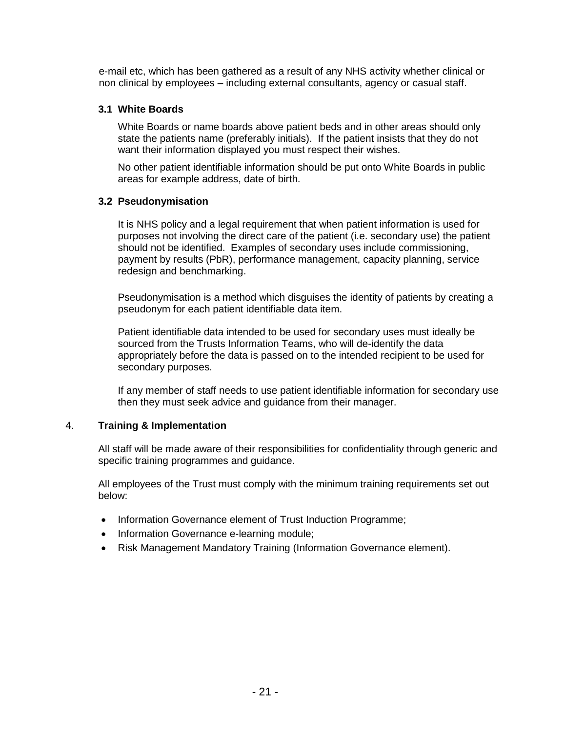e-mail etc, which has been gathered as a result of any NHS activity whether clinical or non clinical by employees – including external consultants, agency or casual staff.

## **3.1 White Boards**

White Boards or name boards above patient beds and in other areas should only state the patients name (preferably initials). If the patient insists that they do not want their information displayed you must respect their wishes.

No other patient identifiable information should be put onto White Boards in public areas for example address, date of birth.

## **3.2 Pseudonymisation**

It is NHS policy and a legal requirement that when patient information is used for purposes not involving the direct care of the patient (i.e. secondary use) the patient should not be identified. Examples of secondary uses include commissioning, payment by results (PbR), performance management, capacity planning, service redesign and benchmarking.

Pseudonymisation is a method which disguises the identity of patients by creating a pseudonym for each patient identifiable data item.

Patient identifiable data intended to be used for secondary uses must ideally be sourced from the Trusts Information Teams, who will de-identify the data appropriately before the data is passed on to the intended recipient to be used for secondary purposes.

If any member of staff needs to use patient identifiable information for secondary use then they must seek advice and guidance from their manager.

# 4. **Training & Implementation**

All staff will be made aware of their responsibilities for confidentiality through generic and specific training programmes and guidance.

All employees of the Trust must comply with the minimum training requirements set out below:

- Information Governance element of Trust Induction Programme;
- Information Governance e-learning module;
- Risk Management Mandatory Training (Information Governance element).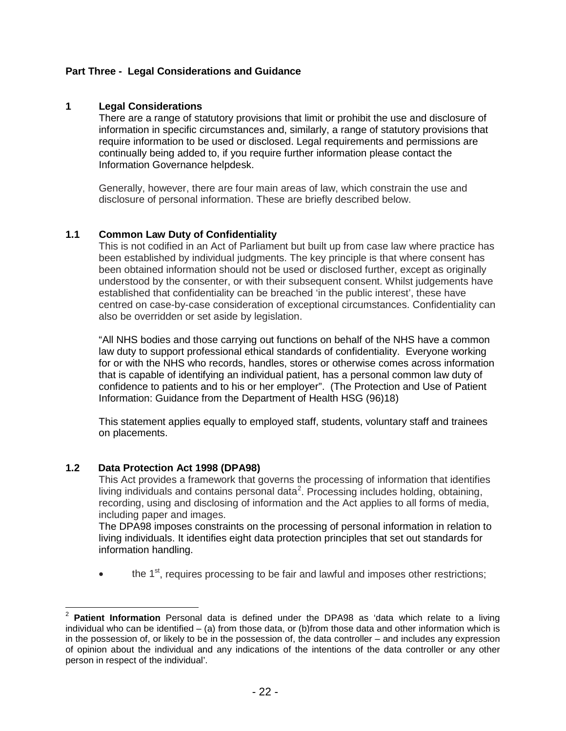## **Part Three - Legal Considerations and Guidance**

#### **1 Legal Considerations**

There are a range of statutory provisions that limit or prohibit the use and disclosure of information in specific circumstances and, similarly, a range of statutory provisions that require information to be used or disclosed. Legal requirements and permissions are continually being added to, if you require further information please contact the Information Governance helpdesk.

Generally, however, there are four main areas of law, which constrain the use and disclosure of personal information. These are briefly described below.

#### **1.1 Common Law Duty of Confidentiality**

This is not codified in an Act of Parliament but built up from case law where practice has been established by individual judgments. The key principle is that where consent has been obtained information should not be used or disclosed further, except as originally understood by the consenter, or with their subsequent consent. Whilst judgements have established that confidentiality can be breached 'in the public interest', these have centred on case-by-case consideration of exceptional circumstances. Confidentiality can also be overridden or set aside by legislation.

"All NHS bodies and those carrying out functions on behalf of the NHS have a common law duty to support professional ethical standards of confidentiality. Everyone working for or with the NHS who records, handles, stores or otherwise comes across information that is capable of identifying an individual patient, has a personal common law duty of confidence to patients and to his or her employer". (The Protection and Use of Patient Information: Guidance from the Department of Health HSG (96)18)

This statement applies equally to employed staff, students, voluntary staff and trainees on placements.

#### **1.2 Data Protection Act 1998 (DPA98)**

This Act provides a framework that governs the processing of information that identifies living individuals and contains personal data<sup>[2](#page-20-0)</sup>. Processing includes holding, obtaining, recording, using and disclosing of information and the Act applies to all forms of media, including paper and images.

The DPA98 imposes constraints on the processing of personal information in relation to living individuals. It identifies eight data protection principles that set out standards for information handling.

 $\bullet$  the 1<sup>st</sup>, requires processing to be fair and lawful and imposes other restrictions;

<span id="page-20-0"></span><sup>2</sup> **Patient Information** Personal data is defined under the DPA98 as 'data which relate to a living individual who can be identified – (a) from those data, or (b)from those data and other information which is in the possession of, or likely to be in the possession of, the data controller – and includes any expression of opinion about the individual and any indications of the intentions of the data controller or any other person in respect of the individual'.  $\overline{a}$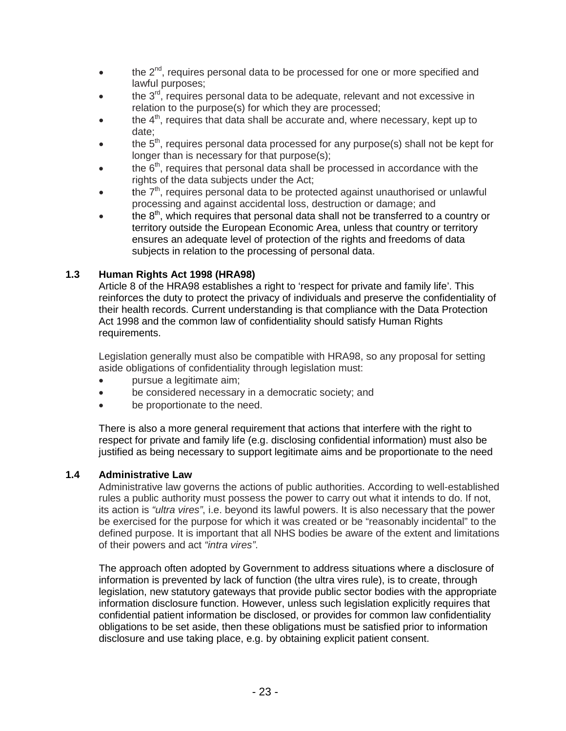- $\bullet$  the  $2^{nd}$ , requires personal data to be processed for one or more specified and lawful purposes;
- $\bullet$  the 3<sup>rd</sup>, requires personal data to be adequate, relevant and not excessive in relation to the purpose(s) for which they are processed;
- the  $4<sup>th</sup>$ , requires that data shall be accurate and, where necessary, kept up to date;
- the  $5<sup>th</sup>$ , requires personal data processed for any purpose(s) shall not be kept for longer than is necessary for that purpose(s);
- the  $6<sup>th</sup>$ , requires that personal data shall be processed in accordance with the rights of the data subjects under the Act;
- the  $7<sup>th</sup>$ , requires personal data to be protected against unauthorised or unlawful processing and against accidental loss, destruction or damage; and
- the  $8<sup>th</sup>$ , which requires that personal data shall not be transferred to a country or territory outside the European Economic Area, unless that country or territory ensures an adequate level of protection of the rights and freedoms of data subjects in relation to the processing of personal data.

# **1.3 Human Rights Act 1998 (HRA98)**

Article 8 of the HRA98 establishes a right to 'respect for private and family life'. This reinforces the duty to protect the privacy of individuals and preserve the confidentiality of their health records. Current understanding is that compliance with the Data Protection Act 1998 and the common law of confidentiality should satisfy Human Rights requirements.

Legislation generally must also be compatible with HRA98, so any proposal for setting aside obligations of confidentiality through legislation must:

- pursue a legitimate aim;
- be considered necessary in a democratic society; and
- be proportionate to the need.

 There is also a more general requirement that actions that interfere with the right to respect for private and family life (e.g. disclosing confidential information) must also be justified as being necessary to support legitimate aims and be proportionate to the need

#### **1.4 Administrative Law**

Administrative law governs the actions of public authorities. According to well-established rules a public authority must possess the power to carry out what it intends to do. If not, its action is *"ultra vires"*, i.e. beyond its lawful powers. It is also necessary that the power be exercised for the purpose for which it was created or be "reasonably incidental" to the defined purpose. It is important that all NHS bodies be aware of the extent and limitations of their powers and act *"intra vires"*.

The approach often adopted by Government to address situations where a disclosure of information is prevented by lack of function (the ultra vires rule), is to create, through legislation, new statutory gateways that provide public sector bodies with the appropriate information disclosure function. However, unless such legislation explicitly requires that confidential patient information be disclosed, or provides for common law confidentiality obligations to be set aside, then these obligations must be satisfied prior to information disclosure and use taking place, e.g. by obtaining explicit patient consent.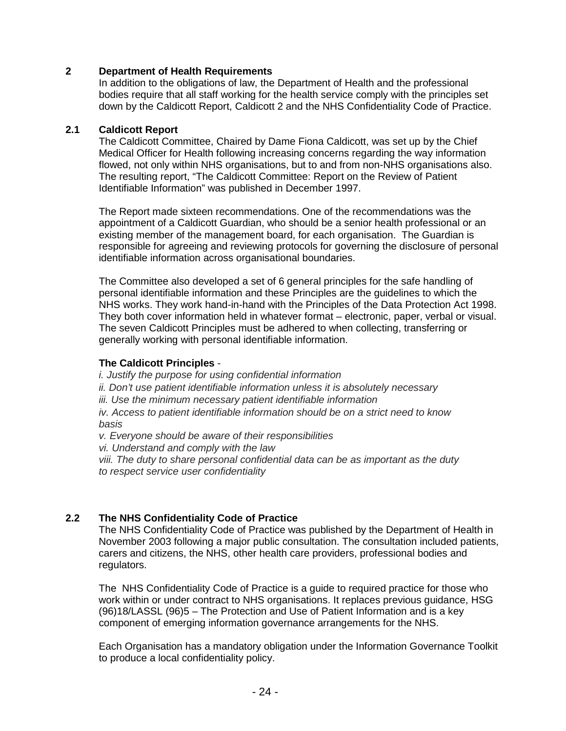### **2 Department of Health Requirements**

In addition to the obligations of law, the Department of Health and the professional bodies require that all staff working for the health service comply with the principles set down by the Caldicott Report, Caldicott 2 and the NHS Confidentiality Code of Practice.

#### **2.1 Caldicott Report**

The Caldicott Committee, Chaired by Dame Fiona Caldicott, was set up by the Chief Medical Officer for Health following increasing concerns regarding the way information flowed, not only within NHS organisations, but to and from non-NHS organisations also. The resulting report, "The Caldicott Committee: Report on the Review of Patient Identifiable Information" was published in December 1997.

The Report made sixteen recommendations. One of the recommendations was the appointment of a Caldicott Guardian, who should be a senior health professional or an existing member of the management board, for each organisation. The Guardian is responsible for agreeing and reviewing protocols for governing the disclosure of personal identifiable information across organisational boundaries.

The Committee also developed a set of 6 general principles for the safe handling of personal identifiable information and these Principles are the guidelines to which the NHS works. They work hand-in-hand with the Principles of the Data Protection Act 1998. They both cover information held in whatever format – electronic, paper, verbal or visual. The seven Caldicott Principles must be adhered to when collecting, transferring or generally working with personal identifiable information.

#### **The Caldicott Principles** -

*i. Justify the purpose for using confidential information ii. Don't use patient identifiable information unless it is absolutely necessary iii. Use the minimum necessary patient identifiable information iv. Access to patient identifiable information should be on a strict need to know basis v. Everyone should be aware of their responsibilities*

*vi. Understand and comply with the law*

*viii. The duty to share personal confidential data can be as important as the duty to respect service user confidentiality*

# **2.2 The NHS Confidentiality Code of Practice**

The NHS Confidentiality Code of Practice was published by the Department of Health in November 2003 following a major public consultation. The consultation included patients, carers and citizens, the NHS, other health care providers, professional bodies and regulators.

The NHS Confidentiality Code of Practice is a guide to required practice for those who work within or under contract to NHS organisations. It replaces previous guidance, HSG (96)18/LASSL (96)5 – The Protection and Use of Patient Information and is a key component of emerging information governance arrangements for the NHS.

Each Organisation has a mandatory obligation under the Information Governance Toolkit to produce a local confidentiality policy.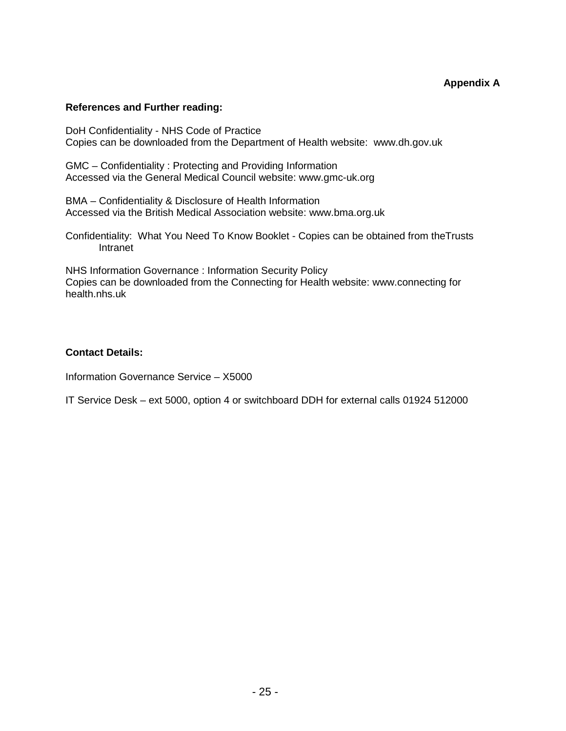#### **References and Further reading:**

DoH Confidentiality - NHS Code of Practice Copies can be downloaded from the Department of Health website: www.dh.gov.uk

GMC – Confidentiality : Protecting and Providing Information Accessed via the General Medical Council website: www.gmc-uk.org

BMA – Confidentiality & Disclosure of Health Information Accessed via the British Medical Association website: www.bma.org.uk

Confidentiality: What You Need To Know Booklet - Copies can be obtained from theTrusts Intranet

NHS Information Governance : Information Security Policy Copies can be downloaded from the Connecting for Health website: www.connecting for health.nhs.uk

#### **Contact Details:**

Information Governance Service – X5000

IT Service Desk – ext 5000, option 4 or switchboard DDH for external calls 01924 512000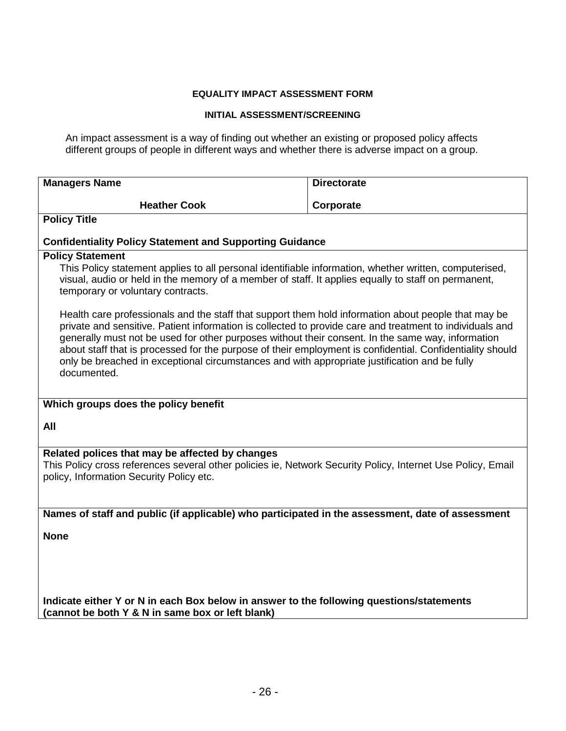#### **EQUALITY IMPACT ASSESSMENT FORM**

#### **INITIAL ASSESSMENT/SCREENING**

An impact assessment is a way of finding out whether an existing or proposed policy affects different groups of people in different ways and whether there is adverse impact on a group.

| <b>Managers Name</b>                                                                                                                                                                                                                                                                                                                                                                                                                                                                             | <b>Directorate</b> |  |  |  |  |
|--------------------------------------------------------------------------------------------------------------------------------------------------------------------------------------------------------------------------------------------------------------------------------------------------------------------------------------------------------------------------------------------------------------------------------------------------------------------------------------------------|--------------------|--|--|--|--|
| <b>Heather Cook</b>                                                                                                                                                                                                                                                                                                                                                                                                                                                                              | Corporate          |  |  |  |  |
| <b>Policy Title</b>                                                                                                                                                                                                                                                                                                                                                                                                                                                                              |                    |  |  |  |  |
| <b>Confidentiality Policy Statement and Supporting Guidance</b>                                                                                                                                                                                                                                                                                                                                                                                                                                  |                    |  |  |  |  |
| <b>Policy Statement</b><br>This Policy statement applies to all personal identifiable information, whether written, computerised,<br>visual, audio or held in the memory of a member of staff. It applies equally to staff on permanent,<br>temporary or voluntary contracts.<br>Health care professionals and the staff that support them hold information about people that may be<br>private and sensitive. Patient information is collected to provide care and treatment to individuals and |                    |  |  |  |  |
| generally must not be used for other purposes without their consent. In the same way, information<br>about staff that is processed for the purpose of their employment is confidential. Confidentiality should<br>only be breached in exceptional circumstances and with appropriate justification and be fully<br>documented.                                                                                                                                                                   |                    |  |  |  |  |
| Which groups does the policy benefit                                                                                                                                                                                                                                                                                                                                                                                                                                                             |                    |  |  |  |  |
| All                                                                                                                                                                                                                                                                                                                                                                                                                                                                                              |                    |  |  |  |  |
| Related polices that may be affected by changes                                                                                                                                                                                                                                                                                                                                                                                                                                                  |                    |  |  |  |  |
| This Policy cross references several other policies ie, Network Security Policy, Internet Use Policy, Email<br>policy, Information Security Policy etc.                                                                                                                                                                                                                                                                                                                                          |                    |  |  |  |  |
| Names of staff and public (if applicable) who participated in the assessment, date of assessment                                                                                                                                                                                                                                                                                                                                                                                                 |                    |  |  |  |  |
| <b>None</b>                                                                                                                                                                                                                                                                                                                                                                                                                                                                                      |                    |  |  |  |  |
|                                                                                                                                                                                                                                                                                                                                                                                                                                                                                                  |                    |  |  |  |  |
| Indicate either Y or N in each Box below in answer to the following questions/statements<br>(cannot be both Y & N in same box or left blank)                                                                                                                                                                                                                                                                                                                                                     |                    |  |  |  |  |